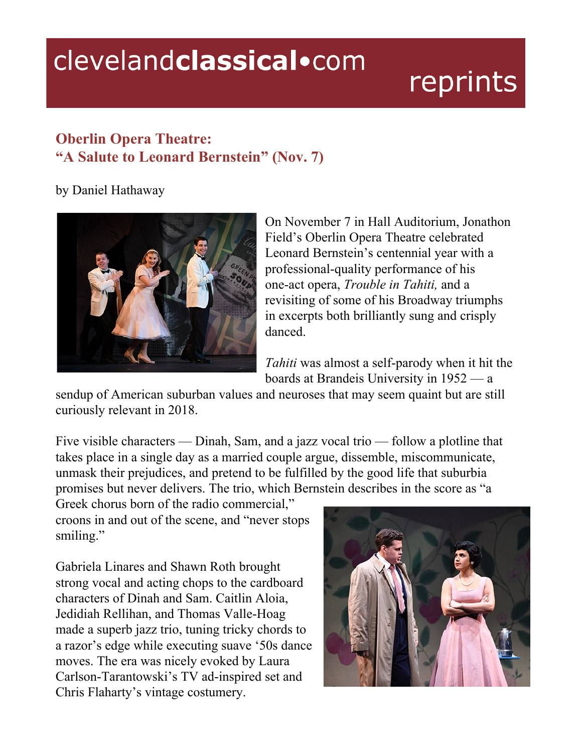## clevelandclassical.com

## reprints

## **Oberlin Opera Theatre: "A Salute to Leonard Bernstein" (Nov. 7)**

by Daniel Hathaway



On November 7 in Hall Auditorium, Jonathon Field's Oberlin Opera Theatre celebrated Leonard Bernstein's centennial year with a professional-quality performance of his one-act opera, *Trouble in Tahiti,* and a revisiting of some of his Broadway triumphs in excerpts both brilliantly sung and crisply danced.

*Tahiti* was almost a self-parody when it hit the boards at Brandeis University in 1952 — a

sendup of American suburban values and neuroses that may seem quaint but are still curiously relevant in 2018.

Five visible characters — Dinah, Sam, and a jazz vocal trio — follow a plotline that takes place in a single day as a married couple argue, dissemble, miscommunicate, unmask their prejudices, and pretend to be fulfilled by the good life that suburbia promises but never delivers. The trio, which Bernstein describes in the score as "a

Greek chorus born of the radio commercial," croons in and out of the scene, and "never stops smiling."

Gabriela Linares and Shawn Roth brought strong vocal and acting chops to the cardboard characters of Dinah and Sam. Caitlin Aloia, Jedidiah Rellihan, and Thomas Valle-Hoag made a superb jazz trio, tuning tricky chords to a razor's edge while executing suave '50s dance moves. The era was nicely evoked by Laura Carlson-Tarantowski's TV ad-inspired set and Chris Flaharty's vintage costumery.

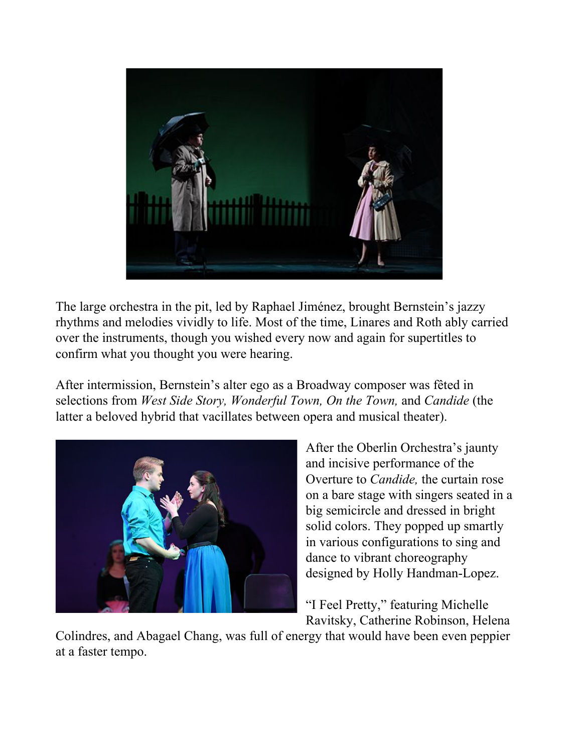

The large orchestra in the pit, led by Raphael Jiménez, brought Bernstein's jazzy rhythms and melodies vividly to life. Most of the time, Linares and Roth ably carried over the instruments, though you wished every now and again for supertitles to confirm what you thought you were hearing.

After intermission, Bernstein's alter ego as a Broadway composer was fêted in selections from *West Side Story, Wonderful Town, On the Town,* and *Candide* (the latter a beloved hybrid that vacillates between opera and musical theater).



After the Oberlin Orchestra's jaunty and incisive performance of the Overture to *Candide,* the curtain rose on a bare stage with singers seated in a big semicircle and dressed in bright solid colors. They popped up smartly in various configurations to sing and dance to vibrant choreography designed by Holly Handman-Lopez.

"I Feel Pretty," featuring Michelle Ravitsky, Catherine Robinson, Helena

Colindres, and Abagael Chang, was full of energy that would have been even peppier at a faster tempo.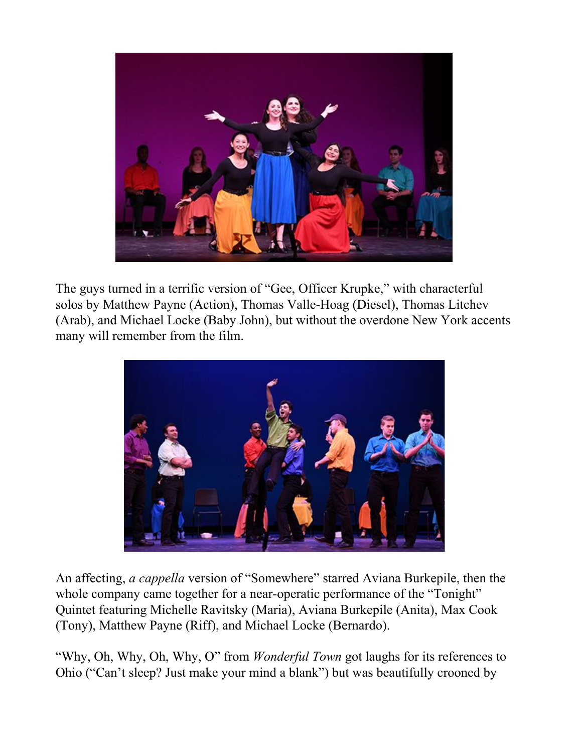

The guys turned in a terrific version of "Gee, Officer Krupke," with characterful solos by Matthew Payne (Action), Thomas Valle-Hoag (Diesel), Thomas Litchev (Arab), and Michael Locke (Baby John), but without the overdone New York accents many will remember from the film.



An affecting, *a cappella* version of "Somewhere" starred Aviana Burkepile, then the whole company came together for a near-operatic performance of the "Tonight" Quintet featuring Michelle Ravitsky (Maria), Aviana Burkepile (Anita), Max Cook (Tony), Matthew Payne (Riff), and Michael Locke (Bernardo).

"Why, Oh, Why, Oh, Why, O" from *Wonderful Town* got laughs for its references to Ohio ("Can't sleep? Just make your mind a blank") but was beautifully crooned by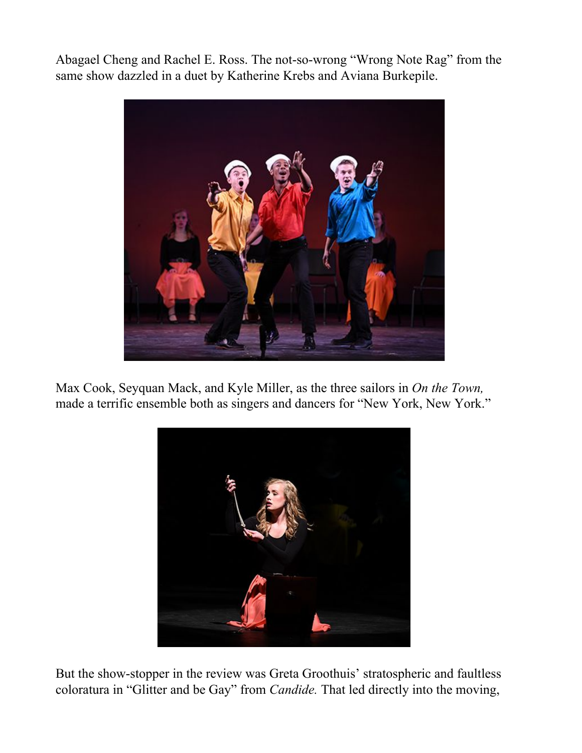Abagael Cheng and Rachel E. Ross. The not-so-wrong "Wrong Note Rag" from the same show dazzled in a duet by Katherine Krebs and Aviana Burkepile.



Max Cook, Seyquan Mack, and Kyle Miller, as the three sailors in *On the Town,* made a terrific ensemble both as singers and dancers for "New York, New York."



But the show-stopper in the review was Greta Groothuis' stratospheric and faultless coloratura in "Glitter and be Gay" from *Candide.* That led directly into the moving,